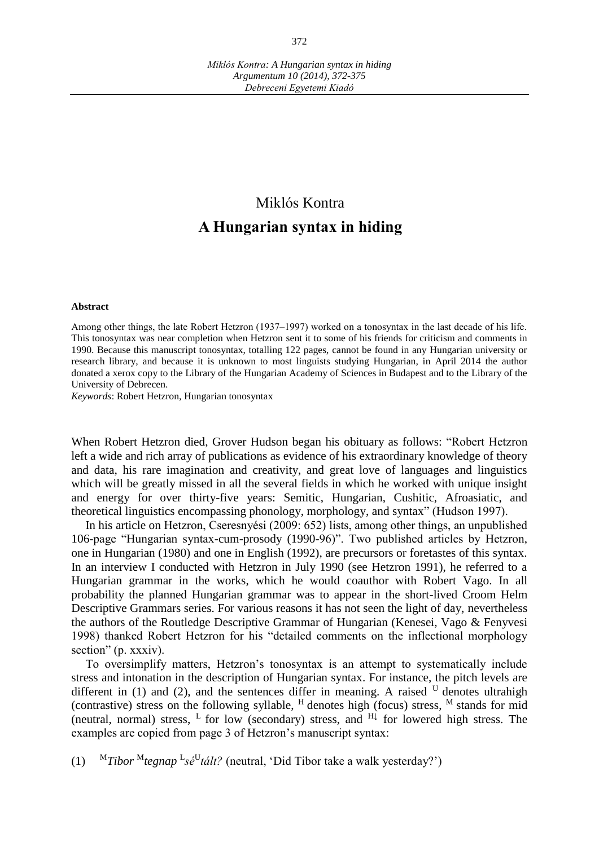## Miklós Kontra **A Hungarian syntax in hiding**

## **Abstract**

Among other things, the late Robert Hetzron (1937–1997) worked on a tonosyntax in the last decade of his life. This tonosyntax was near completion when Hetzron sent it to some of his friends for criticism and comments in 1990. Because this manuscript tonosyntax, totalling 122 pages, cannot be found in any Hungarian university or research library, and because it is unknown to most linguists studying Hungarian, in April 2014 the author donated a xerox copy to the Library of the Hungarian Academy of Sciences in Budapest and to the Library of the University of Debrecen.

*Keywords*: Robert Hetzron, Hungarian tonosyntax

When Robert Hetzron died, Grover Hudson began his obituary as follows: "Robert Hetzron left a wide and rich array of publications as evidence of his extraordinary knowledge of theory and data, his rare imagination and creativity, and great love of languages and linguistics which will be greatly missed in all the several fields in which he worked with unique insight and energy for over thirty-five years: Semitic, Hungarian, Cushitic, Afroasiatic, and theoretical linguistics encompassing phonology, morphology, and syntax" (Hudson 1997).

In his article on Hetzron, Cseresnyési (2009: 652) lists, among other things, an unpublished 106-page "Hungarian syntax-cum-prosody (1990-96)". Two published articles by Hetzron, one in Hungarian (1980) and one in English (1992), are precursors or foretastes of this syntax. In an interview I conducted with Hetzron in July 1990 (see Hetzron 1991), he referred to a Hungarian grammar in the works, which he would coauthor with Robert Vago. In all probability the planned Hungarian grammar was to appear in the short-lived Croom Helm Descriptive Grammars series. For various reasons it has not seen the light of day, nevertheless the authors of the Routledge Descriptive Grammar of Hungarian (Kenesei, Vago & Fenyvesi 1998) thanked Robert Hetzron for his "detailed comments on the inflectional morphology section" (p. xxxiv).

To oversimplify matters, Hetzron's tonosyntax is an attempt to systematically include stress and intonation in the description of Hungarian syntax. For instance, the pitch levels are different in (1) and (2), and the sentences differ in meaning. A raised  $U$  denotes ultrahigh (contrastive) stress on the following syllable,  $<sup>H</sup>$  denotes high (focus) stress,  $<sup>M</sup>$  stands for mid</sup></sup> (neutral, normal) stress, <sup>L</sup> for low (secondary) stress, and  $H\downarrow$  for lowered high stress. The examples are copied from page 3 of Hetzron's manuscript syntax:

(1) <sup>M</sup>*Tibor* <sup>M</sup>*tegnap* <sup>L</sup> *sé*<sup>U</sup> *tált?* (neutral, ʻDid Tibor take a walk yesterday?')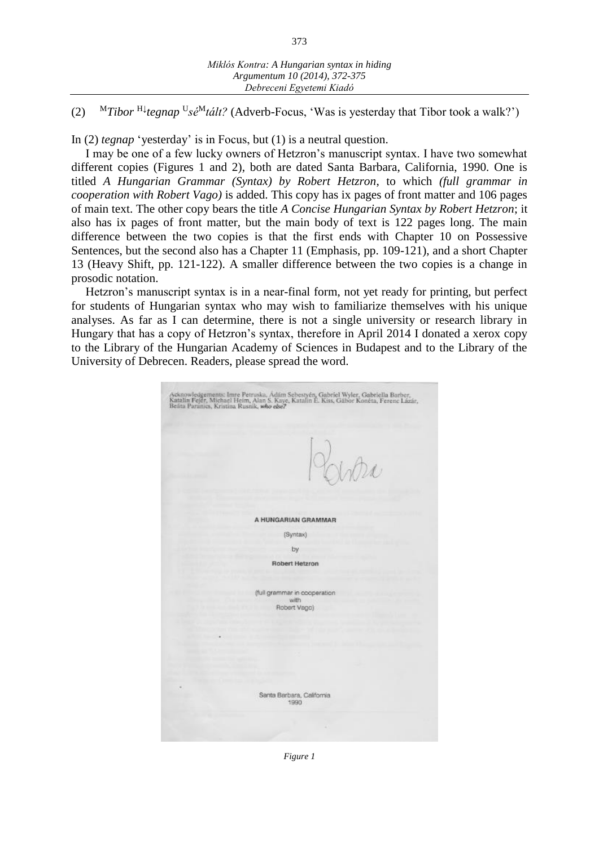373

(2) <sup>M</sup>*Tibor* H↓ *tegnap* <sup>U</sup> *sé*<sup>M</sup>*tált?* (Adverb-Focus, ʻWas is yesterday that Tibor took a walk?')

In (2) *tegnap* 'yesterday' is in Focus, but (1) is a neutral question.

I may be one of a few lucky owners of Hetzron's manuscript syntax. I have two somewhat different copies (Figures 1 and 2), both are dated Santa Barbara, California, 1990. One is titled *A Hungarian Grammar (Syntax) by Robert Hetzron*, to which *(full grammar in cooperation with Robert Vago)* is added. This copy has ix pages of front matter and 106 pages of main text. The other copy bears the title *A Concise Hungarian Syntax by Robert Hetzron*; it also has ix pages of front matter, but the main body of text is 122 pages long. The main difference between the two copies is that the first ends with Chapter 10 on Possessive Sentences, but the second also has a Chapter 11 (Emphasis, pp. 109-121), and a short Chapter 13 (Heavy Shift, pp. 121-122). A smaller difference between the two copies is a change in prosodic notation.

Hetzron's manuscript syntax is in a near-final form, not yet ready for printing, but perfect for students of Hungarian syntax who may wish to familiarize themselves with his unique analyses. As far as I can determine, there is not a single university or research library in Hungary that has a copy of Hetzron's syntax, therefore in April 2014 I donated a xerox copy to the Library of the Hungarian Academy of Sciences in Budapest and to the Library of the University of Debrecen. Readers, please spread the word.

| Acknowledgements: Imre Petruska, Ádám Sebestyén, Gabriel Wyler, Gabriella Barber,<br>Katalin Fejêr, Michael Heim, Alan S. Kaye, Katalin E. Kiss, Gábor Konéta, Ferenc Lázár,<br>Beáta Paranics, Kristina Rusnik, who ebe? |
|---------------------------------------------------------------------------------------------------------------------------------------------------------------------------------------------------------------------------|
| Vitro                                                                                                                                                                                                                     |
| A HUNGARIAN GRAMMAR                                                                                                                                                                                                       |
| (Syntax)                                                                                                                                                                                                                  |
| by                                                                                                                                                                                                                        |
| Robert Hetzron                                                                                                                                                                                                            |
|                                                                                                                                                                                                                           |
| (full grammar in cooperation<br>with<br>Robert Vago)                                                                                                                                                                      |
|                                                                                                                                                                                                                           |
|                                                                                                                                                                                                                           |
|                                                                                                                                                                                                                           |
|                                                                                                                                                                                                                           |
|                                                                                                                                                                                                                           |
| Santa Barbara, California<br>1990                                                                                                                                                                                         |
|                                                                                                                                                                                                                           |

*Figure 1*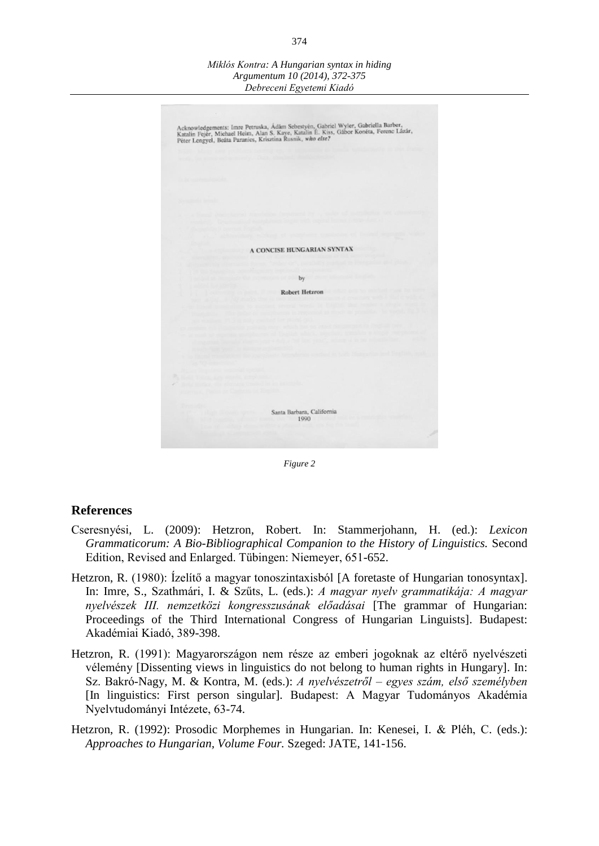*Miklós Kontra: A Hungarian syntax in hiding Argumentum 10 (2014), 372-375 Debreceni Egyetemi Kiadó*



*Figure 2*

## **References**

- Cseresnyési, L. (2009): Hetzron, Robert. In: Stammerjohann, H. (ed.): *Lexicon Grammaticorum: A Bio-Bibliographical Companion to the History of Linguistics.* Second Edition, Revised and Enlarged. Tübingen: Niemeyer, 651-652.
- Hetzron, R. (1980): Ízelítő a magyar tonoszintaxisból [A foretaste of Hungarian tonosyntax]. In: Imre, S., Szathmári, I. & Szűts, L. (eds.): *A magyar nyelv grammatikája: A magyar nyelvészek III. nemzetközi kongresszusának előadásai* [The grammar of Hungarian: Proceedings of the Third International Congress of Hungarian Linguists]. Budapest: Akadémiai Kiadó, 389-398.
- Hetzron, R. (1991): Magyarországon nem része az emberi jogoknak az eltérő nyelvészeti vélemény [Dissenting views in linguistics do not belong to human rights in Hungary]. In: Sz. Bakró-Nagy, M. & Kontra, M. (eds.): *A nyelvészetről – egyes szám, első személyben* [In linguistics: First person singular]*.* Budapest: A Magyar Tudományos Akadémia Nyelvtudományi Intézete, 63-74.
- Hetzron, R. (1992): Prosodic Morphemes in Hungarian. In: Kenesei, I. & Pléh, C. (eds.): *Approaches to Hungarian, Volume Four.* Szeged: JATE, 141-156.